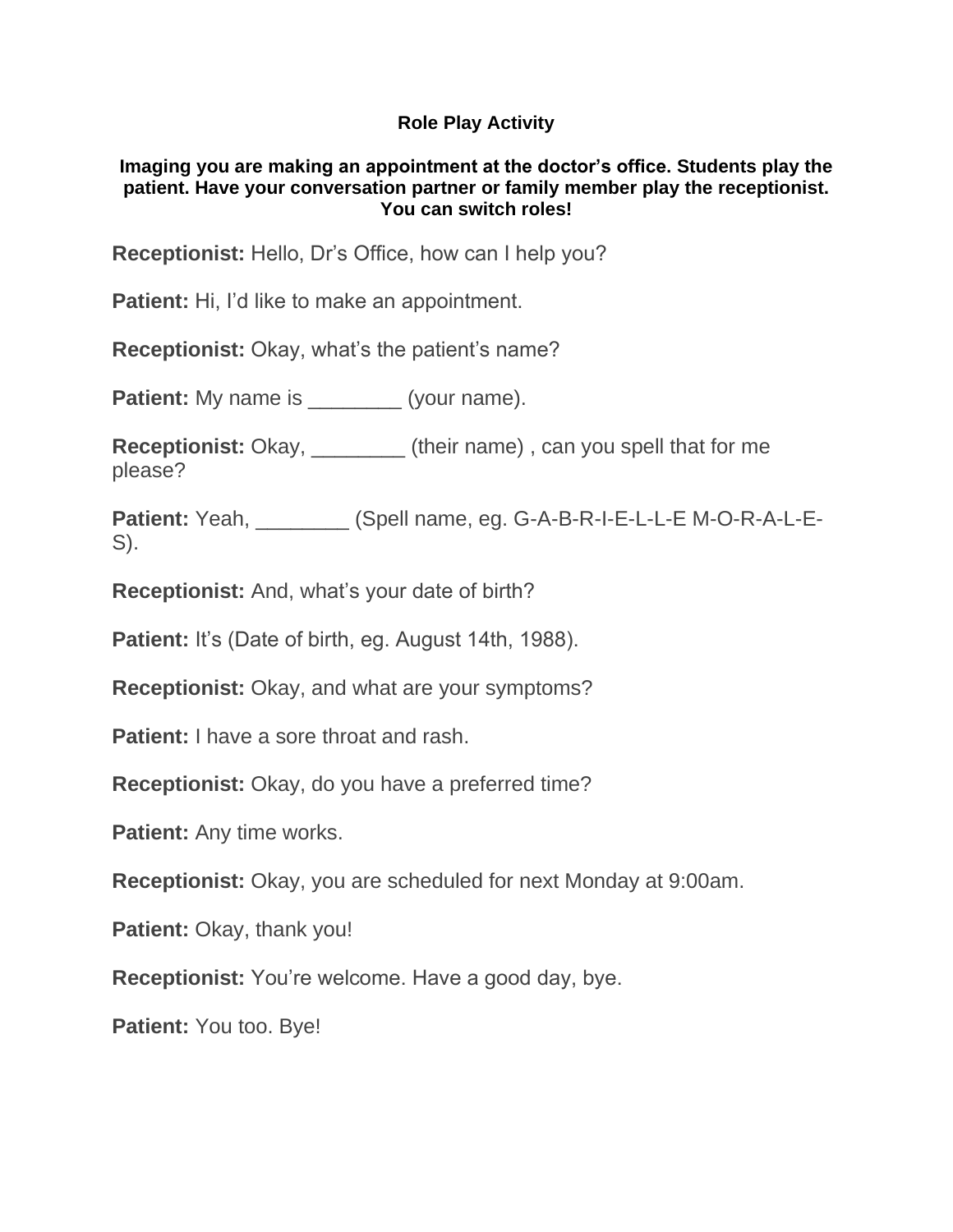## **Role Play Activity**

## **Imaging you are making an appointment at the doctor's office. Students play the patient. Have your conversation partner or family member play the receptionist. You can switch roles!**

**Receptionist:** Hello, Dr's Office, how can I help you?

**Patient:** Hi, I'd like to make an appointment.

**Receptionist:** Okay, what's the patient's name?

**Patient:** My name is \_\_\_\_\_\_\_\_\_ (your name).

**Receptionist:** Okay, \_\_\_\_\_\_\_\_ (their name) , can you spell that for me please?

Patient: Yeah, \_\_\_\_\_\_\_\_ (Spell name, eg. G-A-B-R-I-E-L-L-E M-O-R-A-L-E-S).

**Receptionist:** And, what's your date of birth?

**Patient:** It's (Date of birth, eg. August 14th, 1988).

**Receptionist:** Okay, and what are your symptoms?

**Patient:** I have a sore throat and rash.

**Receptionist:** Okay, do you have a preferred time?

**Patient:** Any time works.

**Receptionist:** Okay, you are scheduled for next Monday at 9:00am.

**Patient:** Okay, thank you!

**Receptionist:** You're welcome. Have a good day, bye.

**Patient:** You too. Bye!